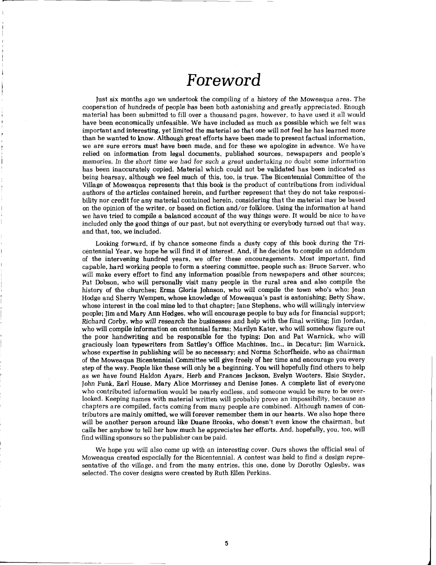## Foreword

Just six months ago we undertook the compiling of a history of the Moweaqua area. The cooperation of hundreds of people has been both astonishing and greatly appreciated. Enough material has been submitted to fill over a thousand pages, however, to have used it all would have been economically unfeasible. We have included as much as possible which we felt was important and interesting, yet limited the material so that one will not feel he has learned more than he wanted to know. Although great efforts have been made to present factual information, we are sure errors must have been made, and for these we apologize in advance. We have relied on information from legal documents, published sources, newspapers and people's memories. In the short time we had for such a great undertaking no doubt some information has been inaccurately copied. Material which could not be validated has been indicated as being hearsay, although we feel much of this, too, is true. The Bicentennial Committee of the Village of Moweaqua represents that this book is the product of contributions from individual authors of the articles contained herein, and further represent that they do not take responsibility nor credit for any material contained herein, considering that the material may be based on the opinion of the writer, or based on fiction and/or folklore. Using the information at hand we have tried to compile a balanced account of the way things were. It would be nice to have included only the good things of our past, but not everything or everybody turned out that way, and that, too, we included.

Looking forward, if by chance someone finds a dusty copy of this book during the Tricentennial Year, we hope he will find it of interest. And, if he decides to compile an addendum of the intervening hundred years, we offer these encouragements. Most important, find capable, hard working people to form a steering committee, people such as: Bruce Sarver, who will make every effort to find any information possible from newspapers and other sources; Pat Dobson, who will personally visit many people in the rural area and also compile the history of the churches; Erma Gloria Johnson, who will compile the town who's who; Jean Hodge and Sherry Wempen, whose knowledge of Moweaqua's past is astonishing; Betty Shaw, whose interest in the coal mine led to that chapter; Jane Stephens, who will willingly interview people; Jim and Mary Ann Hedges, who will encourage people to buy ads for financial support; Richard Corby, who will research the businesses and help with the final writing; Jim Jordan, who will compile information on centennial farms; Marilyn Kater, who will somehow figure out the poor handwriting and be responsible for the typing; Don and Pat Warnick, who will graciously loan typewriters from Sattley's Office Machines, Inc., in Decatur; Jim Warnick, whose expertise in publishing will be so necessary; and Norma Schorfheide, who as chairman of the Moweaqua Bicentennial Committee will give freely of her time and encourage you every step of the way. People like these will only be a beginning. You will hopefully find others to help as we have found Haldon Ayars, Herb and Frances Jackson, Evelyn Wooters, Elsie Snyder, John Funk, Earl House, Mary Alice Morrissey and Denise Jones. A complete list of everyone who contributed information would be nearly endless, and someone would be sure to be overlooked. Keeping names with material written will probably prove an impossibility, because as chapters are compiled, facts coming from many people are combined. Although names of contributors are mainly omitted, we will forever remember them in our hearts. We also hope there will be another person around like Duane Brooks, who doesn't even know the chairman, but calls her anyhow to tell her how much he appreciates her efforts. And, hopefully, you, too, will find willing sponsors so the publisher can be paid.

We hope you will also come up with an interesting cover. Ours shows the official seal of Moweaqua created especially for the Bicentennial. **A** contest was held to find a design representative of the village, and from the many entries, this one, done by Dorothy Oglesby, was selected. The cover designs were created by Ruth Ellen Perkins.